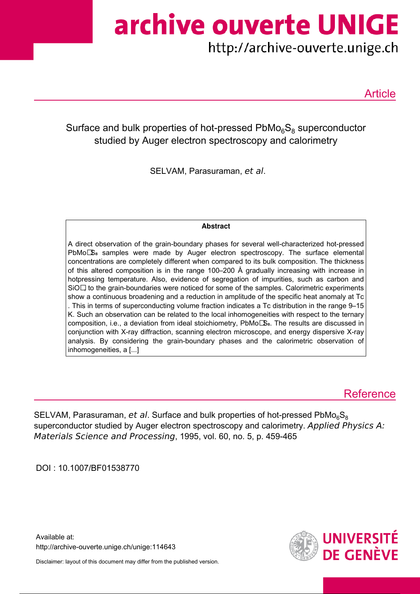archive ouverte UNIGE

http://archive-ouverte.unige.ch

Article

Surface and bulk properties of hot-pressed  $\mathsf{PbMo}_{6}\mathsf{S}_{8}$  superconductor studied by Auger electron spectroscopy and calorimetry

SELVAM, Parasuraman, et al.

# **Abstract**

A direct observation of the grain-boundary phases for several well-characterized hot-pressed PbMo $\mathbb{S}_8$  samples were made by Auger electron spectroscopy. The surface elemental concentrations are completely different when compared to its bulk composition. The thickness of this altered composition is in the range 100–200 Å gradually increasing with increase in hotpressing temperature. Also, evidence of segregation of impurities, such as carbon and SiO $\Box$  to the grain-boundaries were noticed for some of the samples. Calorimetric experiments show a continuous broadening and a reduction in amplitude of the specific heat anomaly at Tc . This in terms of superconducting volume fraction indicates a Tc distribution in the range 9–15 K. Such an observation can be related to the local inhomogeneities with respect to the ternary composition, i.e., a deviation from ideal stoichiometry, PbMoLS<sub>8</sub>. The results are discussed in conjunction with X-ray diffraction, scanning electron microscope, and energy dispersive X-ray analysis. By considering the grain-boundary phases and the calorimetric observation of inhomogeneities, a [...]

# **Reference**

SELVAM, Parasuraman, et al. Surface and bulk properties of hot-pressed PbMo<sub>6</sub>S<sub>8</sub> superconductor studied by Auger electron spectroscopy and calorimetry. Applied Physics A: Materials Science and Processing, 1995, vol. 60, no. 5, p. 459-465

DOI : 10.1007/BF01538770

Available at: http://archive-ouverte.unige.ch/unige:114643

Disclaimer: layout of this document may differ from the published version.

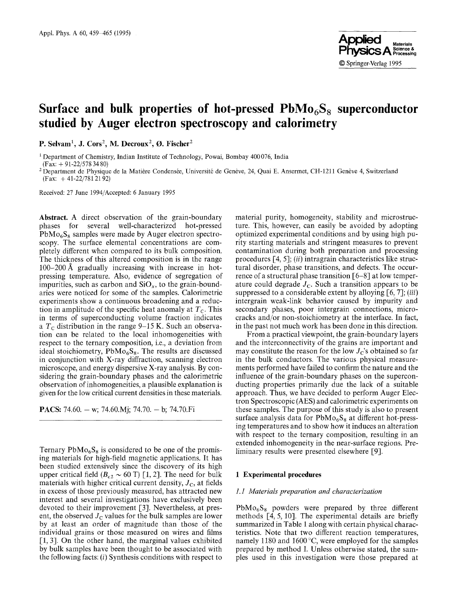

# Surface and bulk properties of hot-pressed  $PbMo<sub>6</sub>S<sub>8</sub>$  superconductor **studied by Auger electron spectroscopy and calorimetry**

P. Selvam<sup>1</sup>, J. Cors<sup>2</sup>, M. Decroux<sup>2</sup>, Ø. Fischer<sup>2</sup>

1 Department of Chemistry, Indian Institute of Technology, Powai, Bombay 400 076, India

(Fax: + 91-22/578 34 80)

<sup>2</sup> Department de Physique de la Matière Condensée, Université de Genève, 24, Quai E. Ansermet, CH-1211 Genève 4, Switzerland  $(Fax: +41-22/7812192)$ 

Received: 27 June 1994/Accepted: 6 January 1995

**Abstract.** A direct observation of the grain-boundary phases for several well-characterized hot-pressed  $PbMo<sub>6</sub>S<sub>8</sub>$  samples were made by Auger electron spectroscopy. The surface elemental concentrations are completely different when compared to its bulk composition. The thickness of this altered composition is in the range  $100-200$  Å gradually increasing with increase in hotpressing temperature. Also, evidence of segregation of impurities, such as carbon and  $SiO<sub>x</sub>$ , to the grain-boundaries were noticed for some of the samples. Calorimetric experiments show a continuous broadening and a reduction in amplitude of the specific heat anomaly at  $T_c$ . This in terms of superconducting volume fraction indicates a  $T_c$  distribution in the range 9–15 K. Such an observation can be related to the local inhomogeneities with respect to the ternary composition, i.e., a deviation from ideal stoichiometry,  $PbMo<sub>6</sub><sup>°</sup>S<sub>8</sub>$ . The results are discussed in conjunction with X-ray diffraction, scanning electron microscope, and energy dispersive X-ray analysis. By considering the grain-boundary phases and the calorimetric observation of inhomogeneities, a plausible explanation is given for the low critical current densities in these materials.

**PACS:** 74.60. - w; 74.60.Mj; 74.70. - b; 74.70.Fi

Ternary  $PbMo<sub>6</sub>S<sub>8</sub>$  is considered to be one of the promising materials for high-field magnetic applications. It has been studied extensively since the discovery of its high upper critical field ( $B_{c2} \sim 60$  T) [1, 2]. The need for bulk materials with higher critical current density,  $J_c$ , at fields in excess of those previously measured, has attracted new interest and several investigations have exclusively been devoted to their improvement [3]. Nevertheless, at present, the observed  $J_{\rm C}$  values for the bulk samples are lower by at least an order of magnitude than those of the individual grains or those measured on wires and films [1, 3]. On the other hand, the marginal values exhibited by bulk samples have been thought to be associated with the following facts:  $(i)$  Synthesis conditions with respect to material purity, homogeneity, stability and microstructure. This, however, can easily be avoided by adopting optimized experimental conditions and by using high purity starting materials and stringent measures to prevent contamination during both preparation and processing procedures [4, 5]; *(ii)* intragrain characteristics like structural disorder, phase transitions, and defects. The occurrence of a structural phase transition [6-8] at low temperature could degrade  $J_c$ . Such a transition appears to be suppressed to a considerable extent by alloying [6, 7]; *(iii)*  intergrain weak-link behavior caused by impurity and secondary phases, poor intergrain connections, microcracks and/or non-stoichiometry at the interface. In fact, in the past not much work has been done in this direction.

From a practical viewpoint, the grain-boundary layers and the interconnectivity of the grains are important and may constitute the reason for the low  $J_{\rm C}$ 's obtained so far in the bulk conductors. The various physical measurements performed have failed to confirm the nature and the influence of the grain-boundary phases on the superconducting properties primarily due the lack of a suitable approach. Thus, we have decided to perform Auger Electron Spectroscopic (AES) and calorimetric experiments on these samples. The purpose of this study is also to present surface analysis data for  $PbMo<sub>6</sub>S<sub>8</sub>$  at different hot-pressing temperatures and to show how it induces an alteration with respect to the ternary composition, resulting in an extended inhomogeneity in the near-surface regions. Preliminary results were presented elsewhere [9].

### **1 Experimental procedures**

#### *1.1 Materials preparation and characterization*

 $PbMo<sub>6</sub>S<sub>8</sub>$  powders were prepared by three different methods [4, 5, 10]. The experimental details are briefly summarized in Table 1 along with certain physical characteristics. Note that two different reaction temperatures, namely 1180 and 1600 $^{\circ}$ C, were employed for the samples prepared by method I. Unless otherwise stated, the samples used in this investigation were those prepared at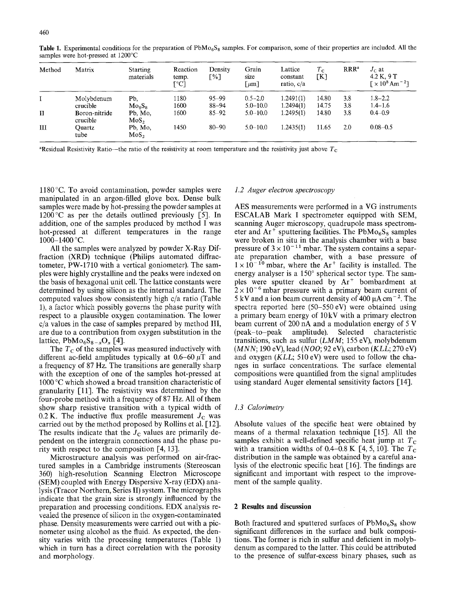| Method       | Matrix                    | <b>Starting</b><br>materials   | Reaction<br>temp.<br>$\Gamma$ °C1 | Density<br>Г%∃ | Grain<br>size<br>$\lceil \mu m \rceil$ | Lattice<br>constant<br>ratio, c/a | $T_{\rm C}$<br>[K] | RRR <sup>2</sup> | $J_c$ at<br>4.2 K. 9 T<br>$\Gamma \times 10^8$ Am <sup>-2</sup> |
|--------------|---------------------------|--------------------------------|-----------------------------------|----------------|----------------------------------------|-----------------------------------|--------------------|------------------|-----------------------------------------------------------------|
|              | Molybdenum                | Pb.                            | 1180                              | $95 - 99$      | $0.5 - 2.0$                            | 1.2491(1)                         | 14.80              | 3.8              | $1.8 - 2.2$                                                     |
|              | crucible                  | Mo <sub>6</sub> S <sub>8</sub> | 1600                              | $88 - 94$      | $5.0 - 10.0$                           | 1.2494(1)                         | 14.75              | 3.8              | $1.4 - 1.6$                                                     |
| $\mathbf{I}$ | Boron-nitride<br>crucible | Pb, Mo,<br>MoS <sub>2</sub>    | 1600                              | $85 - 92$      | $5.0 - 10.0$                           | 1.2495(1)                         | 14.80              | 3.8              | $0.4 - 0.9$                                                     |
| III          | Ouartz<br>tube            | Pb, Mo,<br>$MoS_{2}$           | 1450                              | $80 - 90$      | $5.0 - 10.0$                           | 1.2435(1)                         | 11.65              | 2.0              | $0.08 - 0.5$                                                    |

Table 1. Experimental conditions for the preparation of PbMo<sub>6</sub>S<sub>8</sub> samples. For comparison, some of their properties are included. All the samples were hot-pressed at 1200°C

<sup>a</sup>Residual Resistivity Ratio—the ratio of the resistivity at room temperature and the resistivity just above  $T_c$ 

 $1180^{\circ}$ C. To avoid contamination, powder samples were manipulated in an argon-filled glove box. Dense bulk samples were made by hot-pressing the powder samples at  $1200~\degree$ C as per the details outlined previously [5]. In addition, one of the samples produced by method I was hot-pressed at different temperatures in the range  $1000-1400$  °C.

All the samples were analyzed by powder X-Ray Diffraction (XRD) technique (Philips automated diffractometer, PW-1710 with a vertical goniometer). The samples were highly crystalline and the peaks were indexed on the basis of hexagonal unit cell. The lattice constants were determined by using silicon as the internal standard. The computed values show consistently high c/a ratio (Table 1), a factor which possibly governs the phase purity with respect to a plausible oxygen contamination. The lower c/a values in the case of samples prepared by method III, are due to a contribution from oxygen substitution in the lattice,  $PbMo<sub>6</sub>S<sub>8-x</sub>O<sub>x</sub> [4]$ .

The  $T_c$  of the samples was measured inductively with different ac-field amplitudes typically at  $0.6-60 \mu$ T and a frequency of 87 Hz. The transitions are generally sharp with the exception of one of the samples hot-pressed at  $1000^{\circ}$ C which showed a broad transition characteristic of granularity [11]. The resistivity was determined by the four-probe method with a frequency of 87 Hz. All of them show sharp resistive transition with a typical width of 0.2 K. The inductive flux profile measurement  $J_c$  was carried out by the method proposed by Rollins et al. [12]. The results indicate that the  $J<sub>C</sub>$  values are primarily dependent on the intergrain connections and the phase purity with respect to the composition [4, 13].

Microstructure analysis was performed on air-fractured samples in a Cambridge instruments (Stereoscan 360) high-resolution Scanning Electron Microscope (SEM) coupled with Energy Dispersive X-ray (EDX) analysis (Tracor Northern, Series II) system. The micrographs indicate that the grain size is strongly influenced by the preparation and processing conditions. EDX analysis revealed the presence of silicon in the oxygen-contaminated phase. Density measurements were carried out with a picnometer using alcohol as the fluid. As expected, the density varies with the processing temperatures (Table 1) which in turn has a direct correlation with the porosity and morphology.

#### *1.2 Auger electron spectroscopy*

AES measurements were performed in a VG instruments ESCALAB Mark I spectrometer equipped with SEM, scanning Auger microscopy, quadrupole mass spectrometer and  $Ar^+$  sputtering facilities. The PbM $o_6S_8$  samples were broken in situ in the analysis chamber with a base pressure of  $3 \times 10^{-11}$  mbar. The system contains a separate preparation chamber, with a base pressure of  $1 \times 10^{-10}$  mbar, where the Ar<sup>+</sup> facility is installed. The energy analyser is a  $150^{\circ}$  spherical sector type. The samples were sputter cleaned by  $Ar^+$  bombardment at  $2 \times 10^{-6}$  mbar pressure with a primary beam current of 5 kV and a ion beam current density of  $400 \mu A \text{ cm}^{-2}$ . The spectra reported here (50-550 eV) were obtained using a primary beam energy of 10kV with a primary electron beam current of 200 nA and a modulation energy of 5 V (peak-to-peak amplitude). Selected characteristic transitions, such as sulfur *(LMM;* 155 eV), molybdenum *(MNN;* 190 eV), lead *(NO0;* 92 eV), carbon *(KLL;* 270 eV) and oxygen *(KLL;* 510 eV) were used to follow the changes in surface concentrations. The surface elemental compositions were quantified from the signal amplitudes using standard Auger elemental sensitivity factors [14].

## *1.3 Calorimetry*

Absolute values of the specific heat were obtained by means of a thermal relaxation technique [15]. All the samples exhibit a well-defined specific heat jump at  $T_c$ with a transition widths of 0.4–0.8 K [4, 5, 10]. The  $T_c$ distribution in the sample was obtained by a careful analysis of the electronic specific heat [16]. The findings are significant and important with respect to the improvement of the sample quality.

# **2 Results and discussion**

Both fractured and sputtered surfaces of  $PbMo<sub>6</sub>S<sub>8</sub>$  show significant differences in the surface and bulk compositions. The former is rich in sulfur and deficient in molybdenum as compared to the latter. This could be attributed to the presence of sulfur-excess binary phases, such as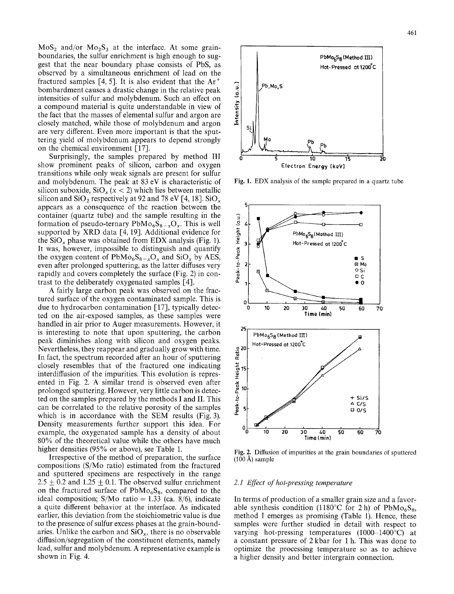$MoS<sub>2</sub>$  and/or  $Mo<sub>2</sub>S<sub>3</sub>$  at the interface. At some grainboundaries, the sulfur enrichment is high enough to suggest that the near boundary phase consists of PbS, as observed by a simultaneous enrichment of lead on the fractured samples [4, 5]. It is also evident that the  $Ar^+$ bombardment causes a drastic change in the relative peak intensities of sulfur and molybdenum. Such an effect on a compound material is quite understandable in view of the fact that the masses of elemental sulfur and argon are closely matched, while those of molybdenum and argon are very different. Even more important is that the sputtering yield of molybdenum appears to depend strongly on the chemical environment  $[17]$ .

Surprisingly, the samples prepared by method III show prominent peaks of silicon, carbon and oxygen transitions while only weak signals are present for sulfur and molybdenum. The peak at 83 eV is characteristic of silicon suboxide,  $SiO_x(x < 2)$  which lies between metallic silicon and  $SiO_2$  respectively at 92 and 78 eV [4, 18].  $SiO_x$ appears as a consequence of the reaction between the container (quartz tube) and the sample resulting in the formation of pseudo-ternary  $PbMo<sub>6</sub>S<sub>8-x</sub>O<sub>x</sub>$ . This is well supported by  $XRD$  data [4, 19]. Additional evidence for the  $SiO_x$  phase was obtained from EDX analysis (Fig. 1). It was, however, impossible to distinguish and quantify the oxygen content of  $PbMo<sub>6</sub>S<sub>8-x</sub>O<sub>x</sub>$  and  $SiO<sub>x</sub>$  by AES, even after prolonged sputtering, as the latter diffuses very rapidly and covers completely the surface (Fig. 2) in contrast to the deliberately oxygenated samples [4].

A fairly large carbon peak was observed on the fractured surface of the oxygen contaminated sample. This is due to hydrocarbon contamination [17], typically detected on the air-exposed samples, as these samples were handled in air prior to Auger measurements. However, it is interesting to note that upon sputtering, the carbon peak diminishes along with silicon and oxygen peaks. Nevertheless, they reappear and gradually grow with time. In fact, the spectrum recorded after an hour of sputtering closely resembles that of the fractured one indicating interdiffusion of the impurities. This evolution is represented in Fig. 2. A similar trend is observed even after prolonged sputtering. However, very little carbon is detected on the samples prepared by the methods I and II. This can be correlated to the relative porosity of the samples which is in accordance with the SEM results (Fig. 3). Density measurements further support this idea. For example, the oxygenated sample has a density of about 80% of the theoretical value while the others have much higher densities (95% or above), see Table 1.

Irrespective of the method of preparation, the surface compositions (S/Mo ratio) estimated from the fractured and sputtered specimens are respectively in the range  $2.5 \pm 0.2$  and  $1.25 \pm 0.1$ . The observed sulfur enrichment on the fractured surface of  $PbMo<sub>6</sub>S<sub>8</sub>$ , compared to the ideal composition; S/Mo ratio = 1.33 (ca. 8/6), indicate a quite different behavior at the interface. As indicated earlier, this deviation from the stoichiometric value is due to the presence of sulfur excess phases at the grain-boundaries. Unlike the carbon and  $SiO<sub>x</sub>$ , there is no observable diffusion/segregation of the constituent elements, namely lead, sulfur and molybdenum. A representative example is shown in Fig. 4.



Fig. 1. EDX analysis of the sample prepared in a quartz tube



Fig. 2. Diffusion of impurities at the grain boundaries of sputtered  $(100 \text{ Å})$  sample

#### *2.1 Effect of hot-pressing temperature*

In terms of production of a smaller grain size and a favorable synthesis condition (1180°C for 2 h) of PbMo<sub>6</sub>S<sub>8</sub>, method I emerges as promising (Table 1). Hence, these samples were further studied in detail with respect to varying hot-pressing temperatures  $(1000-1400^{\circ}C)$  at a constant pressure of 2 kbar for 1 h. This was done to optimize the processing temperature so as to achieve a higher density and better intergrain connection.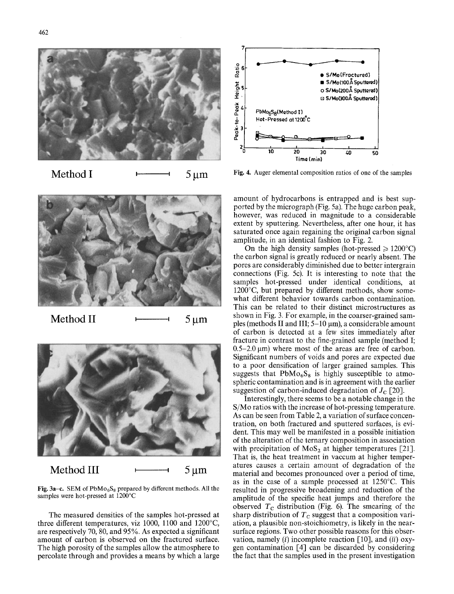

Method I  $\longleftarrow$  5  $\mu$ m



Method II  $\longmapsto$  5  $\mu$ m



Fig. 3a-c. SEM of PbMo<sub>6</sub>S<sub>8</sub> prepared by different methods. All the samples were hot-pressed at 1200°C

The measured densities of the samples hot-pressed at three different temperatures, viz 1000, 1100 and 1200°C, are respectively 70, 80, and 95%. As expected a significant amount of carbon is observed on the fractured surface. The high porosity of the samples allow the atmosphere to percolate through and provides a means by which a large



Fig. 4. Auger elemental composition ratios of one of the samples

amount of hydrocarbons is entrapped and is best supported by the micrograph (Fig. 5a). The huge carbon peak, however, was reduced in magnitude to a considerable extent by sputtering. Nevertheless, after one hour, it has saturated once again regaining the original carbon signal amplitude, in an identical fashion to Fig. 2.

On the high density samples (hot-pressed  $\geq 1200^{\circ}$ C) the carbon signal is greatly reduced or nearly absent. The pores are considerably diminished due to better intergrain connections (Fig. 5c). It is interesting to note that the samples hot-pressed under identical conditions, at  $1200^{\circ}$ C, but prepared by different methods, show somewhat different behavior towards carbon contamination. This can be related to their distinct microstructures as shown in Fig. 3. For example, in the coarser-grained samples (methods II and III;  $5-10 \mu m$ ), a considerable amount of carbon is detected at a few sites immediately after fracture in contrast to the fine-grained sample (method I;  $0.5-2.0 \mu m$ ) where most of the areas are free of carbon. Significant numbers of voids and pores are expected due to a poor densification of larger grained samples. This suggests that  $PbMo<sub>6</sub>S<sub>8</sub>$  is highly susceptible to atmospheric contamination and is in agreement with the earlier suggestion of carbon-induced degradation of  $J_c$  [20].

Interestingly, there seems to be a notable change in the S/Mo ratios with the increase of hot-pressing temperature. As can be seen from Table 2, a variation of surface concentration, on both fractured and sputtered surfaces, is evident. This may well be manifested in a possible initiation of the alteration of the ternary composition in association with precipitation of  $MoS<sub>2</sub>$  at higher temperatures [21]. That is, the heat treatment in vaccum at higher temperatures causes a certain amount of degradation of the material and becomes pronounced over a period of time, as in the case of a sample processed at  $1250^{\circ}$ C. This resulted in progressive broadening and reduction of the amplitude of the specific heat jumps and therefore the observed  $T_c$  distribution (Fig. 6). The smearing of the sharp distribution of  $T_c$  suggest that a composition variation, a plausible non-stoichiometry, is likely in the nearsurface regions. Two other possible reasons for this observation, namely (i) incomplete reaction [10], and *(ii)* oxygen contamination [4] can be discarded by considering the fact that the samples used in the present investigation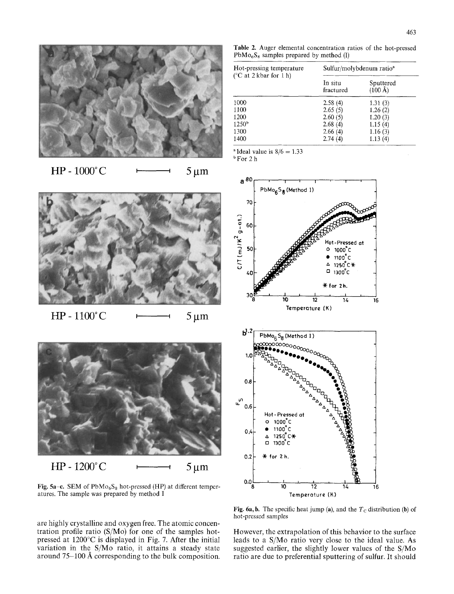



 $HP - 1000^{\circ}C$   $\longleftarrow$  5 µm



 $HP - 1100^{\circ}C$   $\longleftarrow$  5 µm



Fig. 5a-c. SEM of  $PbMo<sub>6</sub>S<sub>8</sub>$  hot-pressed (HP) at different temperatures. The sample was prepared by method I

are highly crystalline and oxygen free. The atomic concentration profile ratio (S/Mo) for one of the samples hotpressed at  $1200^{\circ}$ C is displayed in Fig. 7. After the initial variation in the S/Mo ratio, it attains a steady state around  $75-100~\text{\AA}$  corresponding to the bulk composition.

**Table** 2. Auger elemental concentration ratios of the hot-pressed  $PbMo<sub>6</sub>S<sub>8</sub>$  samples prepared by method (I)

| Hot-pressing temperature<br>( ${}^{\circ}$ C at 2 kbar for 1 h) | Sulfur/molybdenum ratio <sup>a</sup> |                                |  |  |  |
|-----------------------------------------------------------------|--------------------------------------|--------------------------------|--|--|--|
|                                                                 | In situ<br>fractured                 | Sputtered<br>$(100 \text{ Å})$ |  |  |  |
| 1000                                                            | 2.58(4)                              | 1.31(3)                        |  |  |  |
| 1100                                                            | 2.65(5)                              | 1.26(2)                        |  |  |  |
| 1200                                                            | 2.60(5)                              | 1.20(3)                        |  |  |  |
| 1250 <sup>b</sup>                                               | 2.68(4)                              | 1.15(4)                        |  |  |  |
| 1300                                                            | 2.66(4)                              | 1.16(3)                        |  |  |  |
| 1400                                                            | 2.74(4)                              | 1.13(4)                        |  |  |  |

 $\textdegree$ Ideal value is  $8/6 = 1.33$ 

bFor 2 h



Fig. 6a, b. The specific heat jump (a), and the  $T_c$  distribution (b) of hot-pressed samples

However, the extrapolation of this behavior to the surface leads to a S/Mo ratio very close to the ideal value. As suggested earlier, the slightly lower values of the S/Mo ratio are due to preferential sputtering of sulfur. It should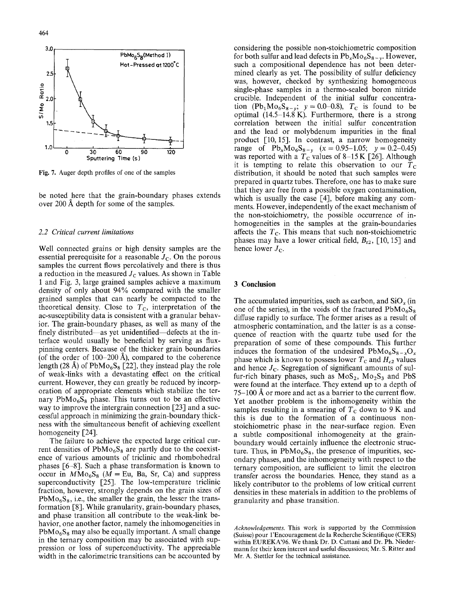

Fig. 7. Auger depth profiles of one of the samples

be noted here that the grain-boundary phases extends over 200 A depth for some of the samples.

## *2.2 Critical current limitations*

Well connected grains or high density samples are the essential prerequisite for a reasonable  $J<sub>C</sub>$ . On the porous samples the current flows percolatively and there is thus a reduction in the measured  $J<sub>C</sub>$  values. As shown in Table 1 and Fig. 3, large grained samples achieve a maximum density of only about 94% compared with the smaller grained samples that can nearly be compacted to the theoretical density. Close to  $T_c$ , interpretation of the ac-susceptibility data is consistent with a granular behavior. The grain-boundary phases, as well as many of the finely distributed—as yet unidentified—defects at the interface would usually be beneficial by serving as fluxpinning centers. Because of the thicker grain boundaries (of the order of  $100-200~\text{\AA}$ ), compared to the coherence length (28 Å) of PbMo<sub>6</sub>S<sub>8</sub> [22], they instead play the role of weak-links with a devastating effect on the critical current. However, they can greatly be reduced by incorporation of appropriate elements which stabilize the ternary  $PbMo<sub>6</sub>S<sub>8</sub>$  phase. This turns out to be an effective way to improve the intergrain connection [23] and a successful approach in minimizing the grain-boundary thickness with the simultaneous benefit of achieving excellent homogeneity [24].

The failure to achieve the expected large critical current densities of  $PbMo<sub>6</sub>S<sub>8</sub>$  are partly due to the coexistence of various amounts of triclinic and rhombohedral phases [6-8]. Such a phase transformation is known to occur in  $M\overline{M}o_6S_8$  ( $\overline{M}$  = Eu, Ba, Sr, Ca) and suppress superconductivity [25]. The low-temperature triclinic fraction, however, strongly depends on the grain sizes of  $PbMo<sub>6</sub>S<sub>8</sub>$ , i.e., the smaller the grain, the lesser the transformation [8]. While granularity, grain-boundary phases, and phase transition all contribute to the weak-link behavior, one another factor, namely the inhomogeneities in  $PbMo<sub>6</sub>S<sub>8</sub>$  may also be equally important. A small change in the ternary composition may be associated with suppression or loss of superconductivity. The appreciable width in the calorimetric transitions can be accounted by

considering the possible non-stoichiometric composition for both sulfur and lead defects in  $Pb_xMo_6S_{8-y}$ . However, such a compositional dependence has not been determined clearly as yet. The possibility of sulfur deficiency was, however, checked by synthesizing homogeneous single-phase samples in a thermo-sealed boron nitride crucible. Independent of the initial sulfur concentration  $(Pb_1Mo_6S_{8-y}; y=0.0-0.8)$ ,  $T_c$  is found to be optimal (14.5-14.8 K). Furthermore, there is a strong correlation between the initial sulfur concentration and the lead or molybdenum impurities in the final product [10, 15]. In contrast, a narrow homogeneity range of  $Pb_xMo_6S_{8-y}$  (x = 0.95-1.05; y = 0.2-0.45) was reported with a  $T_c$  values of 8-15 K [26]. Although it is tempting to relate this observation to our  $\overline{T}_{c}$ distribution, it should be noted that such samples were prepared in quartz tubes. Therefore, one has to make sure that they are free from a possible oxygen contamination, which is usually the case  $[4]$ , before making any comments. However, independently of the exact mechanism of the non-stoichiometry, the possible occurrence of inhomogeneities in the samples at the grain-boundaries affects the  $T_c$ . This means that such non-stoichiometric phases may have a lower critical field,  $B_{t2}$ , [10, 15] and hence lower  $J_C$ .

# **3 Conclusion**

The accumulated impurities, such as carbon, and  $SiO_x$  (in one of the series), in the voids of the fractured  $PbMo<sub>6</sub>S<sub>8</sub>$ diffuse rapidly to surface. The former arises as a result of atmospheric contamination, and the latter is as a consequence of reaction with the quartz tube used for the preparation of some of these compounds. This further induces the formation of the undesired  $PbMo<sub>6</sub>S<sub>8-x</sub>O<sub>x</sub>$ phase which is known to possess lower  $T_c$  and  $H_{c2}$  values and hence  $J_c$ . Segregation of significant amounts of sulfur-rich binary phases, such as  $MoS<sub>2</sub>$ ,  $Mo<sub>2</sub>S<sub>3</sub>$  and PbS were found at the interface. They extend up to a depth of  $75-100~\text{\AA}$  or more and act as a barrier to the current flow. Yet another problem is the inhomogeneity within the samples resulting in a smearing of  $T_c$  down to 9 K and this is due to the formation of a continuous nonstoichiometric phase in the near-surface region. Even a subtle compositional inhomogeneity at the grainboundary would certainly influence the electronic structure. Thus, in  $PbMo<sub>6</sub>S<sub>8</sub>$ , the presence of impurities, secondary phases, and the inhomogeneity with respect to the ternary composition, are sufficient to limit the electron transfer across the boundaries. Hence, they stand as a likely contributor to the problems of low critical current densities in these materials in addition to the problems of granularity and phase transition.

*Acknowledgements.* This work is supported by the Commission (Suisse) pour l'Encouragement de la Recherche Scientifique (CERS) within EUREKA'96. We thank Dr. D. Cattani and Dr. Ph. Niedermann for their keen interest and useful discussions; Mr. S. Ritter and Mr. A. Stettler for the technical assistance.